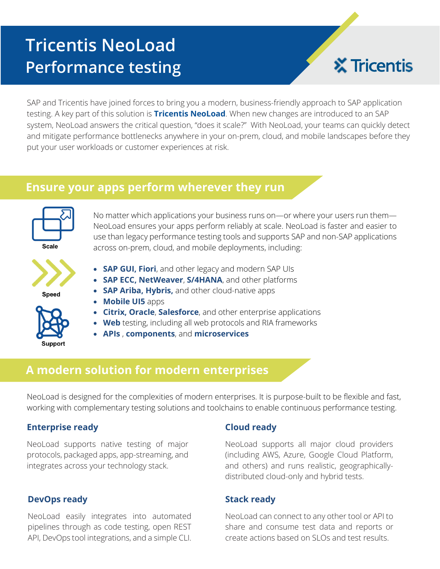# **Tricentis NeoLoad Performance testing**



SAP and Tricentis have joined forces to bring you a modern, business-friendly approach to SAP application testing. A key part of this solution is **Tricentis NeoLoad**. When new changes are introduced to an SAP system, NeoLoad answers the critical question, "does it scale?" With NeoLoad, your teams can quickly detect and mitigate performance bottlenecks anywhere in your on-prem, cloud, and mobile landscapes before they put your user workloads or customer experiences at risk.

## **Ensure your apps perform wherever they run**



No matter which applications your business runs on—or where your users run them— NeoLoad ensures your apps perform reliably at scale. NeoLoad is faster and easier to use than legacy performance testing tools and supports SAP and non-SAP applications across on-prem, cloud, and mobile deployments, including:



Speed



- **SAP ECC, NetWeaver**, **S/4HANA**, and other platforms
- **SAP Ariba, Hybris,** and other cloud-native apps
- **Mobile UI5** apps
- **Citrix, Oracle**, **Salesforce**, and other enterprise applications
- **Web** testing, including all web protocols and RIA frameworks
- **APIs** , **components**, and **microservices**

## **A modern solution for modern enterprises**

NeoLoad is designed for the complexities of modern enterprises. It is purpose-built to be flexible and fast, working with complementary testing solutions and toolchains to enable continuous performance testing.

#### **Enterprise ready**

NeoLoad supports native testing of major protocols, packaged apps, app-streaming, and integrates across your technology stack.

#### **DevOps ready**

NeoLoad easily integrates into automated pipelines through as code testing, open REST API, DevOps tool integrations, and a simple CLI.

#### **Cloud ready**

NeoLoad supports all major cloud providers (including AWS, Azure, Google Cloud Platform, and others) and runs realistic, geographicallydistributed cloud-only and hybrid tests.

#### **Stack ready**

NeoLoad can connect to any other tool or API to share and consume test data and reports or create actions based on SLOs and test results.